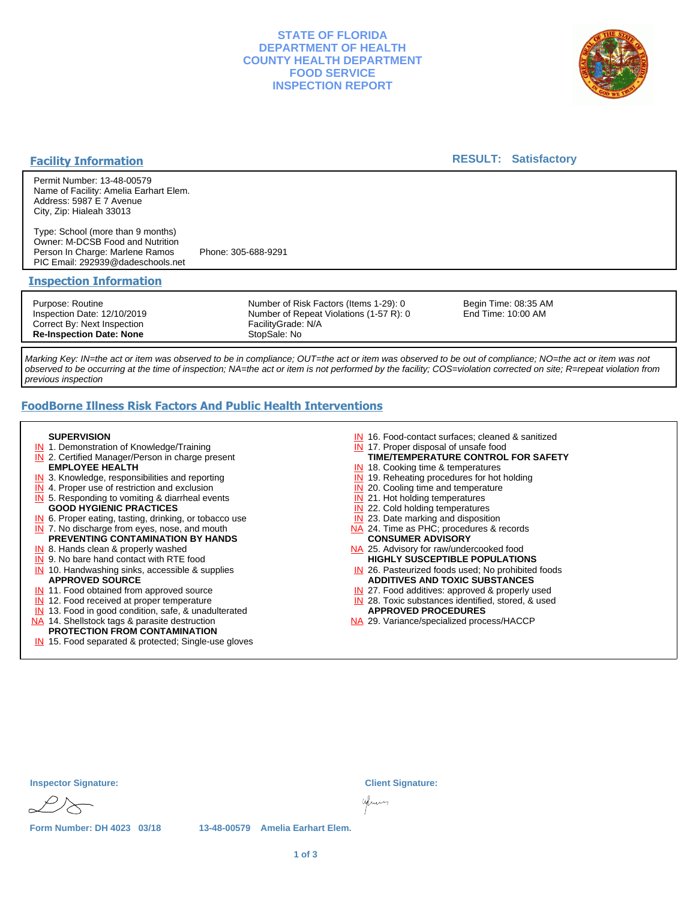## **STATE OF FLORIDA DEPARTMENT OF HEALTH COUNTY HEALTH DEPARTMENT FOOD SERVICE INSPECTION REPORT**



### **Facility Information**

### **RESULT: Satisfactory**

Permit Number: 13-48-00579 Name of Facility: Amelia Earhart Elem. Address: 5987 E 7 Avenue City, Zip: Hialeah 33013

Type: School (more than 9 months) Owner: M-DCSB Food and Nutrition Person In Charge: Marlene Ramos Phone: 305-688-9291 PIC Email: 292939@dadeschools.net

#### **Inspection Information**

Purpose: Routine Inspection Date: 12/10/2019 Correct By: Next Inspection **Re-Inspection Date: None**

Number of Risk Factors (Items 1-29): 0 Number of Repeat Violations (1-57 R): 0 FacilityGrade: N/A StopSale: No

Begin Time: 08:35 AM End Time: 10:00 AM

Marking Key: IN=the act or item was observed to be in compliance; OUT=the act or item was observed to be out of compliance; NO=the act or item was not observed to be occurring at the time of inspection; NA=the act or item is not performed by the facility; COS=violation corrected on site; R=repeat violation from previous inspection

## **FoodBorne Illness Risk Factors And Public Health Interventions**

#### **SUPERVISION**

- **IN** 1. Demonstration of Knowledge/Training
- **IN** 2. Certified Manager/Person in charge present **EMPLOYEE HEALTH**
- **IN** 3. Knowledge, responsibilities and reporting
- **IN** 4. Proper use of restriction and exclusion
- **IN** 5. Responding to vomiting & diarrheal events
- **GOOD HYGIENIC PRACTICES**
- **IN** 6. Proper eating, tasting, drinking, or tobacco use **IN** 7. No discharge from eyes, nose, and mouth
- **PREVENTING CONTAMINATION BY HANDS**
- IN 8. Hands clean & properly washed
- **IN** 9. No bare hand contact with RTE food IN 10. Handwashing sinks, accessible & supplies **APPROVED SOURCE**
- **IN** 11. Food obtained from approved source
- **IN** 12. Food received at proper temperature
- IN 13. Food in good condition, safe, & unadulterated
- NA 14. Shellstock tags & parasite destruction

# **PROTECTION FROM CONTAMINATION**

IN 15. Food separated & protected; Single-use gloves

- IN 16. Food-contact surfaces; cleaned & sanitized
- IN 17. Proper disposal of unsafe food
- **TIME/TEMPERATURE CONTROL FOR SAFETY**
- IN 18. Cooking time & temperatures
- **IN** 19. Reheating procedures for hot holding **IN** 20. Cooling time and temperature
- IN 21. Hot holding temperatures
- **IN** 22. Cold holding temperatures
- **IN** 23. Date marking and disposition
- NA 24. Time as PHC; procedures & records **CONSUMER ADVISORY**
- NA 25. Advisory for raw/undercooked food **HIGHLY SUSCEPTIBLE POPULATIONS**
- IN 26. Pasteurized foods used; No prohibited foods **ADDITIVES AND TOXIC SUBSTANCES**
- IN 27. Food additives: approved & properly used
- IN 28. Toxic substances identified, stored, & used **APPROVED PROCEDURES**
- NA 29. Variance/specialized process/HACCP

| <b>Inspector Signature:</b> |                                  | <b>Client Signature:</b> |
|-----------------------------|----------------------------------|--------------------------|
|                             |                                  | yum                      |
| Form Number: DH 4023 03/18  | 13-48-00579 Amelia Earhart Elem. |                          |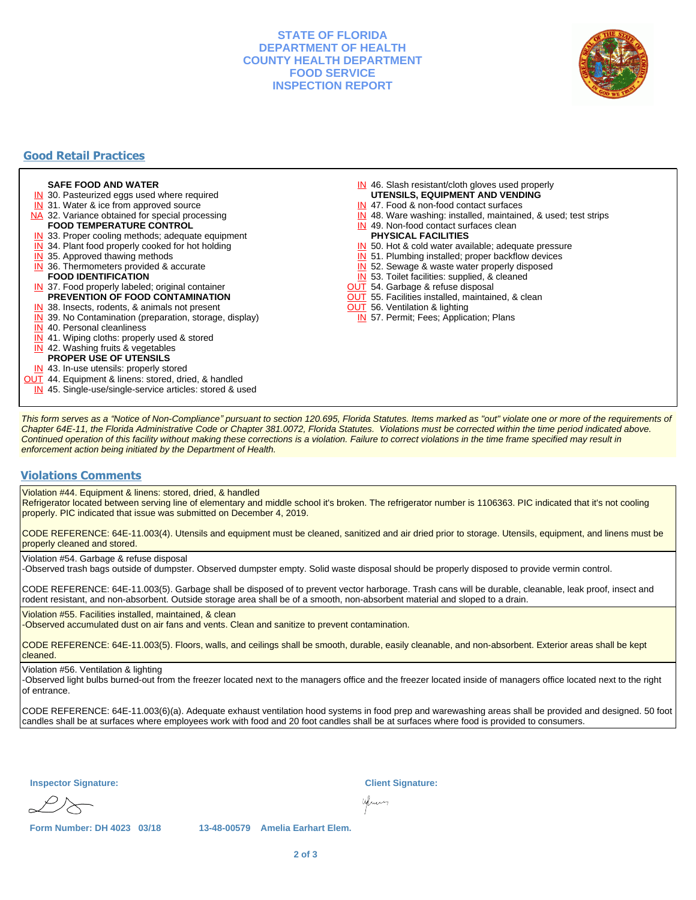## **STATE OF FLORIDA DEPARTMENT OF HEALTH COUNTY HEALTH DEPARTMENT FOOD SERVICE INSPECTION REPORT**



## **Good Retail Practices**

#### **SAFE FOOD AND WATER**

- **IN** 30. Pasteurized eggs used where required
- IN 31. Water & ice from approved source
- NA 32. Variance obtained for special processing **FOOD TEMPERATURE CONTROL**
- 
- **IN** 33. Proper cooling methods; adequate equipment
- **IN** 34. Plant food properly cooked for hot holding
- **IN** 35. Approved thawing methods
- IN 36. Thermometers provided & accurate **FOOD IDENTIFICATION**
- IN 37. Food properly labeled; original container **PREVENTION OF FOOD CONTAMINATION**
- IN 38. Insects, rodents, & animals not present
- **IN** 39. No Contamination (preparation, storage, display)
- IN 40. Personal cleanliness
- IN 41. Wiping cloths: properly used & stored
- IN 42. Washing fruits & vegetables
- **PROPER USE OF UTENSILS**
- IN 43. In-use utensils: properly stored
- **OUT** 44. Equipment & linens: stored, dried, & handled
- IN 45. Single-use/single-service articles: stored & used
- IN 46. Slash resistant/cloth gloves used properly
- **UTENSILS, EQUIPMENT AND VENDING**
- IN 47. Food & non-food contact surfaces
- IN 48. Ware washing: installed, maintained, & used; test strips
- IN 49. Non-food contact surfaces clean
- **PHYSICAL FACILITIES**
- IN 50. Hot & cold water available; adequate pressure
- IN 51. Plumbing installed; proper backflow devices
- IN 52. Sewage & waste water properly disposed
- IN 53. Toilet facilities: supplied, & cleaned
- **OUT** 54. Garbage & refuse disposal
- **OUT** 55. Facilities installed, maintained, & clean
- **OUT** 56. Ventilation & lighting
- IN 57. Permit; Fees; Application; Plans

This form serves as a "Notice of Non-Compliance" pursuant to section 120.695, Florida Statutes. Items marked as "out" violate one or more of the requirements of Chapter 64E-11, the Florida Administrative Code or Chapter 381.0072, Florida Statutes. Violations must be corrected within the time period indicated above. Continued operation of this facility without making these corrections is a violation. Failure to correct violations in the time frame specified may result in enforcement action being initiated by the Department of Health.

#### **Violations Comments**

Violation #44. Equipment & linens: stored, dried, & handled

Refrigerator located between serving line of elementary and middle school it's broken. The refrigerator number is 1106363. PIC indicated that it's not cooling properly. PIC indicated that issue was submitted on December 4, 2019.

CODE REFERENCE: 64E-11.003(4). Utensils and equipment must be cleaned, sanitized and air dried prior to storage. Utensils, equipment, and linens must be properly cleaned and stored.

Violation #54. Garbage & refuse disposal

-Observed trash bags outside of dumpster. Observed dumpster empty. Solid waste disposal should be properly disposed to provide vermin control.

CODE REFERENCE: 64E-11.003(5). Garbage shall be disposed of to prevent vector harborage. Trash cans will be durable, cleanable, leak proof, insect and rodent resistant, and non-absorbent. Outside storage area shall be of a smooth, non-absorbent material and sloped to a drain.

Violation #55. Facilities installed, maintained, & clean

-Observed accumulated dust on air fans and vents. Clean and sanitize to prevent contamination.

CODE REFERENCE: 64E-11.003(5). Floors, walls, and ceilings shall be smooth, durable, easily cleanable, and non-absorbent. Exterior areas shall be kept cleaned.

#### Violation #56. Ventilation & lighting

-Observed light bulbs burned-out from the freezer located next to the managers office and the freezer located inside of managers office located next to the right of entrance.

CODE REFERENCE: 64E-11.003(6)(a). Adequate exhaust ventilation hood systems in food prep and warewashing areas shall be provided and designed. 50 foot candles shall be at surfaces where employees work with food and 20 foot candles shall be at surfaces where food is provided to consumers.

**Inspector Signature: Client Signature:**